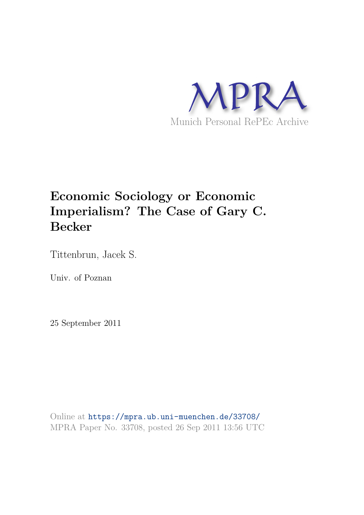

# **Economic Sociology or Economic Imperialism? The Case of Gary C. Becker**

Tittenbrun, Jacek S.

Univ. of Poznan

25 September 2011

Online at https://mpra.ub.uni-muenchen.de/33708/ MPRA Paper No. 33708, posted 26 Sep 2011 13:56 UTC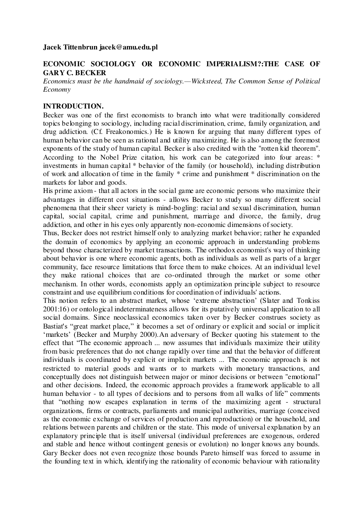#### **Jacek Tittenbrun jacek@amu.edu.pl**

#### **ECONOMIC SOCIOLOGY OR ECONOMIC IMPERIALISM?:THE CASE OF GARY C. BECKER**

*Economics must be the handmaid of sociology.—Wicksteed, The Common Sense of Political Economy* 

## **INTRODUCTION.**

Becker was one of the first economists to branch into what were traditionally considered topics belonging to sociology, including racial discrimination, crime, family organization, and drug addiction. (Cf. Freakonomics.) He is known for arguing that many different types of human behavior can be seen as rational and utility maximizing. He is also among the foremost exponents of the study of human capital. Becker is also credited with the "rotten kid theorem". According to the Nobel Prize citation, his work can be categorized into four areas: \* investments in human capital \* behavior of the family (or household), including distribution of work and allocation of time in the family \* crime and punishment \* discrimination on the markets for labor and goods.

His prime axiom - that all actors in the social game are economic persons who maximize their advantages in different cost situations - allows Becker to study so many different social phenomena that their sheer variety is mind-bogling: racial and sexual discrimination, human capital, social capital, crime and punishment, marriage and divorce, the family, drug addiction, and other in his eyes only apparently non-economic dimensions of society.

Thus, Becker does not restrict himself only to analyzing market behavior; rather he expanded the domain of economics by applying an economic approach in understanding problems beyond those characterized by market transactions. The orthodox economist's way of thinking about behavior is one where economic agents, both as individuals as well as parts of a larger community, face resource limitations that force them to make choices. At an individual level they make rational choices that are co-ordinated through the market or some other mechanism. In other words, economists apply an optimization principle subject to resource constraint and use equilibrium conditions for coordination of individuals' actions.

This notion refers to an abstract market, whose ‗extreme abstraction' (Slater and Tonkiss 2001:16) or ontological indeterminateness allows for its putatively universal application to all social domains. Since neoclassical economics taken over by Becker construes society as Bastiat's "great market place," it becomes a set of ordinary or explicit and social or implicit ‗markets' (Becker and Murphy 2000).An adversary of Becker quoting his statement to the effect that "The economic approach ... now assumes that individuals maximize their utility from basic preferences that do not change rapidly over time and that the behavior of different individuals is coordinated by explicit or implicit markets ... The economic approach is not restricted to material goods and wants or to markets with monetary transactions, and conceptually does not distinguish between major or minor decisions or between "emotional" and other decisions. Indeed, the economic approach provides a framework applicable to all human behavior - to all types of decisions and to persons from all walks of life" comments that "nothing now escapes explanation in terms of the maximizing agent - structural organizations, firms or contracts, parliaments and municipal authorities, marriage (conceived as the economic exchange of services of production and reproduction) or the household, and relations between parents and children or the state. This mode of universal explanation by an explanatory principle that is itself universal (individual preferences are exogenous, ordered and stable and hence without contingent genesis or evolution) no longer knows any bounds. Gary Becker does not even recognize those bounds Pareto himself was forced to assume in the founding text in which, identifying the rationality of economic behaviour with rationality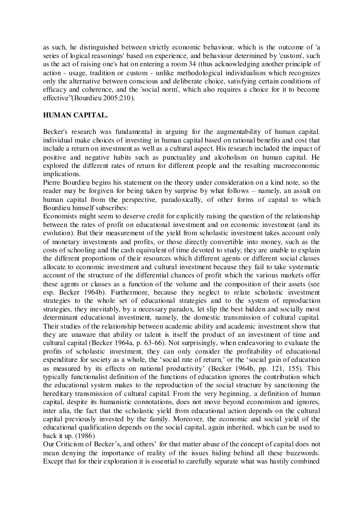as such, he distinguished between strictly economic behaviour, which is the outcome of 'a series of logical reasonings' based on experience, and behaviour determined by 'custom', such as the act of raising one's hat on entering a room 34 (thus acknowledging another principle of action - usage, tradition or custom - unlike methodological individualism which recognizes only the alternative between conscious and deliberate choice, satisfying certain conditions of efficacy and coherence, and the 'social norm', which also requires a choice for it to become effective"(Bourdieu 2005:210).

## **HUMAN CAPITAL.**

Becker's research was fundamental in arguing for the augmentability of human capital. individual make choices of investing in human capital based on rational benefits and cost that include a return on investment as well as a cultural aspect. His research included the impact of positive and negative habits such as punctuality and alcoholism on human capital. He explored the different rates of return for different people and the resulting macroeconomic implications.

Pierre Bourdieu begins his statement on the theory under consideration on a kind note, so the reader may be forgiven for being taken by surprise by what follows – namely, an assult on human capital from the perspective, paradoxically, of other forms of capital to which Bourdieu himself subscribes:

Economists might seem to deserve credit for explicitly raising the question of the relationship between the rates of profit on educational investment and on economic investment (and its evolution). But their measurement of the yield from scholastic investment takes account only of monetary investments and profits, or those directly convertible into money, such as the costs of schooling and the cash equivalent of time devoted to study; they are unable to explain the different proportions of their resources which different agents or different social classes allocate to economic investment and cultural investment because they fail to take systematic account of the structure of the differential chances of profit which the various markets offer these agents or classes as a function of the volume and the composition of their assets (see esp. Becker 1964b). Furthermore, because they neglect to relate scholastic investment strategies to the whole set of educational strategies and to the system of reproduction strategies, they inevitably, by a necessary paradox, let slip the best hidden and socially most determinant educational investment, namely, the domestic transmission of cultural capital. Their studies of the relationship between academic ability and academic investment show that they are unaware that ability or talent is itself the product of an investment of time and cultural capital (Becker 1964a, p. 63-66). Not surprisingly, when endeavoring to evaluate the profits of scholastic investment, they can only consider the profitability of educational expenditure for society as a whole, the 'social rate of return,' or the 'social gain of education as measured by its effects on national productivity' (Becker 1964b, pp. 121, 155). This typically functionalist definition of the functions of education ignores the contribution which the educational system makes to the reproduction of the social structure by sanctioning the hereditary transmission of cultural capital. From the very beginning, a definition of human capital, despite its humanistic connotations, does not move beyond economism and ignores, inter alia, the fact that the scholastic yield from educational action depends on the cultural capital previously invested by the family. Moreover, the economic and social yield of the educational qualification depends on the social capital, again inherited, which can be used to back it up. (1986)

Our Criticism of Becker's, and others' for that matter abuse of the concept of capital does not mean denying the importance of reality of the issues hiding behind all these buzzwords. Except that for their exploration it is essential to carefully separate what was hastily combined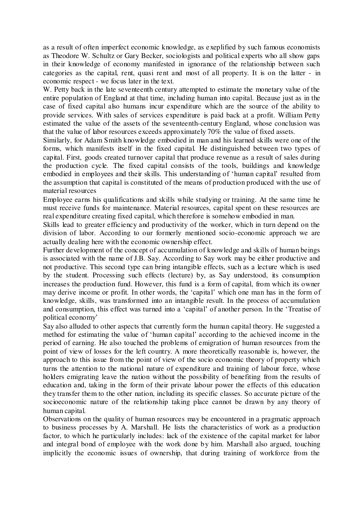as a result of often imperfect economic knowledge, as exeplified by such famous economists as Theodore W. Schultz or Gary Becker, sociologists and political experts who all show gaps in their knowledge of economy manifested in ignorance of the relationship between such categories as the capital, rent, quasi rent and most of all property. It is on the latter - in economic respect - we focus later in the text.

W. Petty back in the late seventeenth century attempted to estimate the monetary value of the entire population of England at that time, including human into capital. Because just as in the case of fixed capital also humans incur expenditure which are the source of the ability to provide services. With sales of services expenditure is paid back at a profit. William Petty estimated the value of the assets of the seventeenth-century England, whose conclusion was that the value of labor resources exceeds approximately 70% the value of fixed assets.

Similarly, for Adam Smith knowledge embodied in man and his learned skills were one of the forms, which manifests itself in the fixed capital. He distinguished between two types of capital. First, goods created turnover capital that produce revenue as a result of sales during the production cycle. The fixed capital consists of the tools, buildings and knowledge embodied in employees and their skills. This understanding of 'human capital' resulted from the assumption that capital is constituted of the means of production produced with the use of material resources

Employee earns his qualifications and skills while studying or training. At the same time he must receive funds for maintenance. Material resources, capital spent on these resources are real expenditure creating fixed capital, which therefore is somehow embodied in man.

Skills lead to greater efficiency and productivity of the worker, which in turn depend on the division of labor. According to our formerly mentioned socio-economic approach we are actually dealing here with the economic ownership effect.

Further development of the concept of accumulation of knowledge and skills of human beings is associated with the name of J.B. Say. According to Say work may be either productive and not productive. This second type can bring intangible effects, such as a lecture which is used by the student. Processing such effects (lecture) by, as Say understood, its consumption increases the production fund. However, this fund is a form of capital, from which its owner may derive income or profit. In other words, the 'capital' which one man has in the form of knowledge, skills, was transformed into an intangible result. In the process of accumulation and consumption, this effect was turned into a 'capital' of another person. In the 'Treatise of political economy'

Say also alluded to other aspects that currently form the human capital theory. He suggested a method for estimating the value of 'human capital' according to the achieved income in the period of earning. He also touched the problems of emigration of human resources from the point of view of losses for the left country. A more theoretically reasonable is, however, the approach to this issue from the point of view of the socio economic theory of property which turns the attention to the national nature of expenditure and training of labour force, whose holders emigrating leave the nation without the possibility of benefiting from the results of education and, taking in the form of their private labour power the effects of this education they transfer them to the other nation, including its specific classes. So accurate picture of the socioeconomic nature of the relationship taking place cannot be drawn by any theory of human capital.

Observations on the quality of human resources may be encountered in a pragmatic approach to business processes by A. Marshall. He lists the characteristics of work as a production factor, to which he particularly includes: lack of the existence of the capital market for labor and integral bond of employee with the work done by him. Marshall also argued, touching implicitly the economic issues of ownership, that during training of workforce from the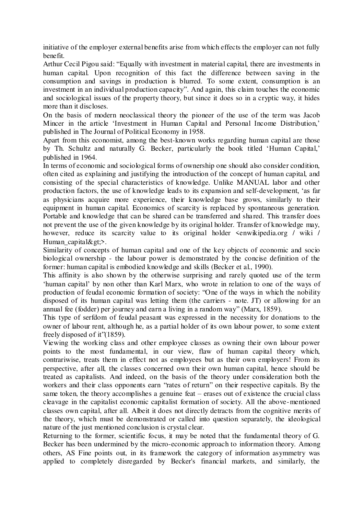initiative of the employer external benefits arise from which effects the employer can not fully benefit.

Arthur Cecil Pigou said: "Equally with investment in material capital, there are investments in human capital. Upon recognition of this fact the difference between saving in the consumption and savings in production is blurred. To some extent, consumption is an investment in an individual production capacity". And again, this claim touches the economic and sociological issues of the property theory, but since it does so in a cryptic way, it hides more than it discloses.

On the basis of modern neoclassical theory the pioneer of the use of the term was Jacob Mincer in the article 'Investment in Human Capital and Personal Income Distribution,' published in The Journal of Political Economy in 1958.

Apart from this economist, among the best-known works regarding human capital are those by Th. Schultz and naturally G. Becker, particularly the book titled ‗Human Capital,' published in 1964.

In terms of economic and sociological forms of ownership one should also consider condition, often cited as explaining and justifying the introduction of the concept of human capital, and consisting of the special characteristics of knowledge. Unlike MANUAL labor and other production factors, the use of knowledge leads to its expansion and self-development, ‗as far as physicians acquire more experience, their knowledge base grows, similarly to their equipment in human capital. Economics of scarcity is replaced by spontaneous generation. Portable and knowledge that can be shared can be transferred and shared. This transfer does not prevent the use of the given knowledge by its original holder. Transfer of knowledge may, however, reduce its scarcity value to its original holder  $\leq$  enwikipedia.org / wiki / Human capital  $>$ .

Similarity of concepts of human capital and one of the key objects of economic and socio biological ownership - the labour power is demonstrated by the concise definition of the former: human capital is embodied knowledge and skills (Becker et al., 1990).

This affinity is also shown by the otherwise surprising and rarely quoted use of the term ‗human capital' by non other than Karl Marx, who wrote in relation to one of the ways of production of feudal economic formation of society: "One of the ways in which the nobility disposed of its human capital was letting them (the carriers - note. JT) or allowing for an annual fee (fodder) per journey and earn a living in a random way" (Marx, 1859).

This type of serfdom of feudal peasant was expressed in the necessity for donations to the owner of labour rent, although he, as a partial holder of its own labour power, to some extent freely disposed of it" $(1859)$ .

Viewing the working class and other employee classes as owning their own labour power points to the most fundamental, in our view, flaw of human capital theory which, contrariwise, treats them in effect not as employees but as their own employers! From its perspective, after all, the classes concerned own their own human capital, hence should be treated as capitalists. And indeed, on the basis of the theory under consideration both the workers and their class opponents earn "rates of return" on their respective capitals. By the same token, the theory accomplishes a genuine feat – erases out of existence the crucial class cleavage in the capitalist economic capitalist formation of society. All the above-mentioned classes own capital, after all. Albeit it does not directly detracts from the cognitive merits of the theory, which must be demonstrated or called into question separately, the ideological nature of the just mentioned conclusion is crystal clear.

Returning to the former, scientific focus, it may be noted that the fundamental theory of G. Becker has been undermined by the micro-economic approach to information theory. Among others, AS Fine points out, in its framework the category of information asymmetry was applied to completely disregarded by Becker's financial markets, and similarly, the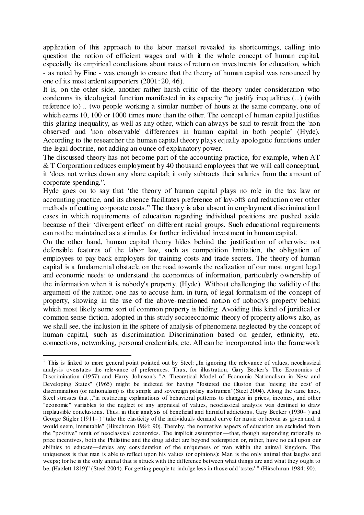application of this approach to the labor market revealed its shortcomings, calling into question the notion of efficient wages and with it the whole concept of human capital, especially its empirical conclusions about rates of return on investments for education, which - as noted by Fine - was enough to ensure that the theory of human capital was renounced by one of its most ardent supporters (2001: 20, 46).

It is, on the other side, another rather harsh critic of the theory under consideration who condemns its ideological function manifested in its capacity "to justify inequalities (...) (with reference to) .. two people working a similar number of hours at the same company, one of which earns 10, 100 or 1000 times more than the other. The concept of human capital justifies this glaring inequality, as well as any other, which can always be said to result from the 'non observed' and 'non observable' differences in human capital in both people' (Hyde). According to the researcher the human capital theory plays equally apologetic functions under the legal doctrine, not adding an ounce of explanatory power.

The discussed theory has not become part of the accounting practice, for example, when AT & T Corporation reduces employment by 40 thousand employees that we will call conceptual, it ‗does not writes down any share capital; it only subtracts their salaries from the amount of corporate spending.".

Hyde goes on to say that 'the theory of human capital plays no role in the tax law or accounting practice, and its absence facilitates preference of lay-offs and reduction over other methods of cutting corporate costs." The theory is also absent in employment discrimination 1 cases in which requirements of education regarding individual positions are pushed aside because of their ‗divergent effect' on different racial groups. Such educational requirements can not be maintained as a stimulus for further individual investment in human capital.

On the other hand, human capital theory hides behind the justification of otherwise not defensible features of the labor law, such as competition limitation, the obligation of employees to pay back employers for training costs and trade secrets. The theory of human capital is a fundamental obstacle on the road towards the realization of our most urgent legal and economic needs: to understand the economics of information, particularly ownership of the information when it is nobody's property. (Hyde). Without challenging the validity of the argument of the author, one has to accuse him, in turn, of legal formalism of the concept of property, showing in the use of the above-mentioned notion of nobody's property behind which most likely some sort of common property is hiding. Avoiding this kind of juridical or common sense fiction, adopted in this study socioeconomic theory of property allows also, as we shall see, the inclusion in the sphere of analysis of phenomena neglected by the concept of human capital, such as discrimination Discrimination based on gender, ethnicity, etc. connections, networking, personal credentials, etc. All can be incorporated into the framework

 $\overline{a}$ 

<sup>&</sup>lt;sup>1</sup> This is linked to more general point pointed out by Steel: "In ignoring the relevance of values, neoclassical analysis overstates the relevance of preferences. Thus, for illustration, Gary Becker 's The Economics of Discrimination (1957) and Harry Johnson's "A Theoretical Model of Economic Nationalis m in New and Developing States" (1965) might be indicted for having "fostered the illusion that 'raising the cost' of discrimination (or nationalism) is the simple and sovereign policy instrumen"(Steel 2004). Along the same lines, Steel stresses that "in restricting explanations of behavioral patterns to changes in prices, incomes, and other "economic" variables to the neglect of any appraisal of values, neoclassical analysis was destined to draw implausible conclusions. Thus, in their analysis of beneficial and harmful addictions, Gary Becker (1930– ) and George Stigler (1911–) "take the elasticity of the individual's demand curve for music or heroin as given and, it would seem, immutable" (Hirschman 1984: 90). Thereby, the normative aspects of education are excluded from the "positive" remit of neoclassical economics. The implicit assumption—that, though responding rationally to price incentives, both the Philistine and the drug addict are beyond redemption or, rather, have no call upon our abilities to educate—denies any consideration of the uniqueness of man within the animal kingdom. The uniqueness is that man is able to reflect upon his values (or opinions): Man is the only animal that laughs and weeps; for he is the only animal that is struck with the difference between what things are and what they ought to be. (Hazlett 1819)" (Steel 2004). For getting people to indulge less in those odd 'tastes' " (Hirschman 1984: 90).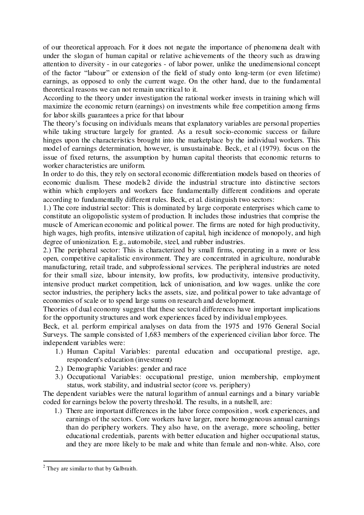of our theoretical approach. For it does not negate the importance of phenomena dealt with under the slogan of human capital or relative achievements of the theory such as drawing attention to diversity - in our categories - of labor power, unlike the unedimensional concept of the factor "labour" or extension of the field of study onto long-term (or even lifetime) earnings, as opposed to only the current wage. On the other hand, due to the fundamental theoretical reasons we can not remain uncritical to it.

According to the theory under investigation the rational worker invests in training which will maximize the economic return (earnings) on investments while free competition among firms for labor skills guarantees a price for that labour

The theory's focusing on individuals means that explanatory variables are personal properties while taking structure largely for granted. As a result socio-economic success or failure hinges upon the characteristics brought into the marketplace by the individual workers. This model of earnings determination, however, is unsustainable. Beck, et al (1979). focus on the issue of fixed returns, the assumption by human capital theorists that economic returns to worker characteristics are uniform.

In order to do this, they rely on sectoral economic differentiation models based on theories of economic dualism. These models2 divide the industrial structure into distinctive sectors within which employers and workers face fundamentally different conditions and operate according to fundamentally different rules. Beck, et al. distinguish two sectors:

1.) The core industrial sector: This is dominated by large corporate enterprises which came to constitute an oligopolistic system of production. It includes those industries that comprise the muscle of American economic and political power. The firms are noted for high productivity, high wages, high profits, intensive utilization of capital, high incidence of monopoly, and high degree of unionization. E.g., automobile, steel, and rubber industries.

2.) The peripheral sector: This is characterized by small firms, operating in a more or less open, competitive capitalistic environment. They are concentrated in agriculture, nondurable manufacturing, retail trade, and subprofessional services. The peripheral industries are noted for their small size, labour intensity, low profits, low productivity, intensive productivity, intensive product market competition, lack of unionisation, and low wages. unlike the core sector industries, the periphery lacks the assets, size, and political power to take advantage of economies of scale or to spend large sums on research and development.

Theories of dual economy suggest that these sectoral differences have important implications for the opportunity structures and work experiences faced by individual employees.

Beck, et al. perform empirical analyses on data from the 1975 and 1976 General Social Surveys. The sample consisted of 1,683 members of the experienced civilian labor force. The independent variables were:

- 1.) Human Capital Variables: parental education and occupational prestige, age, respondent's education (investment)
- 2.) Demographic Variables: gender and race
- 3.) Occupational Variables: occupational prestige, union membership, employment status, work stability, and industrial sector (core vs. periphery)

The dependent variables were the natural logarithm of annual earnings and a binary variable coded for earnings below the poverty threshold. The results, in a nutshell, are:

1.) There are important differences in the labor force composition , work experiences, and earnings of the sectors. Core workers have larger, more homogeneous annual earnings than do periphery workers. They also have, on the average, more schooling, better educational credentials, parents with better education and higher occupational status, and they are more likely to be male and white than female and non-white. Also, core

 $\overline{a}$ 

 $2$  They are similar to that by Galbraith.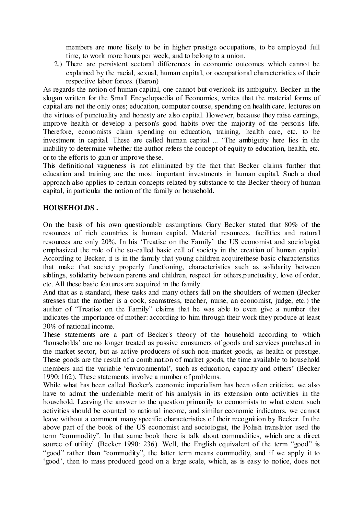members are more likely to be in higher prestige occupations, to be employed full time, to work more hours per week, and to belong to a union.

2.) There are persistent sectoral differences in economic outcomes which cannot be explained by the racial, sexual, human capital, or occupational characteristics of their respective labor forces. (Baron)

As regards the notion of human capital, one cannot but overlook its ambiguity. Becker in the slogan written for the Small Encyclopaedia of Economics, writes that the material forms of capital are not the only ones; education, computer course, spending on health care, lectures on the virtues of punctuality and honesty are also capital. However, because they raise earnings, improve health or develop a person's good habits over the majority of the person's life. Therefore, economists claim spending on education, training, health care, etc. to be investment in capital. These are called human capital ... 'The ambiguity here lies in the inability to determine whether the author refers the concept of equity to education, health, etc. or to the efforts to gain or improve these.

This definitional vagueness is not eliminated by the fact that Becker claims further that education and training are the most important investments in human capital. Such a dual approach also applies to certain concepts related by substance to the Becker theory of human capital, in particular the notion of the family or household.

## **HOUSEHOLDS .**

On the basis of his own questionable assumptions Gary Becker stated that 80% of the resources of rich countries is human capital. Material resources, facilities and natural resources are only 20%. In his 'Treatise on the Family' the US economist and sociologist emphasized the role of the so-called basic cell of society in the creation of human capital. According to Becker, it is in the family that young children acquirethese basic characteristics that make that society properly functioning, characteristics such as solidarity between siblings, solidarity between parents and children, respect for others,punctuality, love of order, etc. All these basic features are acquired in the family.

And that as a standard, these tasks and many others fall on the shoulders of women (Becker stresses that the mother is a cook, seamstress, teacher, nurse, an economist, judge, etc.) the author of "Treatise on the Family" claims that he was able to even give a number that indicates the importance of mother: according to him through their work they produce at least 30% of national income.

These statements are a part of Becker's theory of the household according to which 'households' are no longer treated as passive consumers of goods and services purchased in the market sector, but as active producers of such non-market goods, as health or prestige. These goods are the result of a combination of market goods, the time available to household members and the variable 'environmental', such as education, capacity and others' (Becker 1990: 162). These statements involve a number of problems.

While what has been called Becker's economic imperialism has been often criticize, we also have to admit the undeniable merit of his analysis in its extension onto activities in the household. Leaving the answer to the question primarily to economists to what extent such activities should be counted to national income, and similar economic indicators, we cannot leave without a comment many specific characteristics of their recognition by Becker. In the above part of the book of the US economist and sociologist, the Polish translator used the term "commodity". In that same book there is talk about commodities, which are a direct source of utility' (Becker 1990: 236). Well, the English equivalent of the term "good" is "good" rather than "commodity", the latter term means commodity, and if we apply it to ‗good', then to mass produced good on a large scale, which, as is easy to notice, does not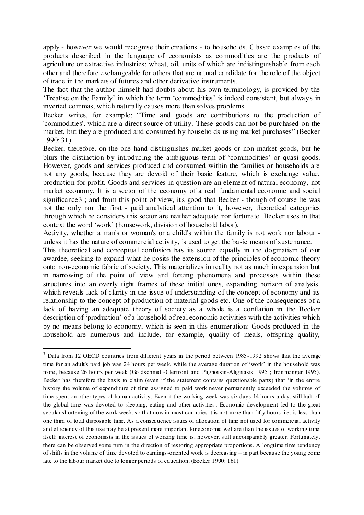apply - however we would recognise their creations - to households. Classic examples of the products described in the language of economists as commodities are the products of agriculture or extractive industries: wheat, oil, units of which are indistinguishable from each other and therefore exchangeable for others that are natural candidate for the role of the object of trade in the markets of futures and other derivative instruments.

The fact that the author himself had doubts about his own terminology, is provided by the ‗Treatise on the Family' in which the term ‗commodities' is indeed consistent, but always in inverted commas, which naturally causes more than solves problems.

Becker writes, for example: "Time and goods are contributions to the production of 'commodities', which are a direct source of utility. These goods can not be purchased on the market, but they are produced and consumed by households using market purchases" (Becker 1990: 31).

Becker, therefore, on the one hand distinguishes market goods or non-market goods, but he blurs the distinction by introducing the ambiguous term of 'commodities' or quasi-goods. However, goods and services produced and consumed within the families or households are not any goods, because they are devoid of their basic feature, which is exchange value. production for profit. Goods and services in question are an element of natural economy, not market economy. It is a sector of the economy of a real fundamental economic and social significance3 ; and from this point of view, it's good that Becker - though of course he was not the only nor the first - paid analytical attention to it, however, theoretical categories through which he considers this sector are neither adequate nor fortunate. Becker uses in that context the word 'work' (housework, division of household labor).

Activity, whether a man's or woman's or a child's within the family is not work nor labour unless it has the nature of commercial activity, is used to get the basic means of sustenance.

This theoretical and conceptual confusion has its source equally in the dogmatism of o ur awardee, seeking to expand what he posits the extension of the principles of economic theory onto non-economic fabric of society. This materializes in reality not as much in expansion but in narrowing of the point of view and forcing phenomena and processes within these structures into an overly tight frames of these initial ones, expanding horizon of analysis, which reveals lack of clarity in the issue of understanding of the concept of economy and its relationship to the concept of production of material goods etc. One of the consequences of a lack of having an adequate theory of society as a whole is a conflation in the Becker description of 'production' of a household of real economic activities with the activities which by no means belong to economy, which is seen in this enumeration: Goods produced in the household are numerous and include, for example, quality of meals, offspring quality,

 $\overline{a}$ 

 $3$  Data from 12 OECD countries from different years in the period between 1985-1992 shows that the average time for an adult's paid job was 24 hours per week, while the average duration of 'work' in the household was more, because 26 hours per week (Goldschmidt-Clermont and Pagnossin-Aligisakis 1995 ; Ironmonger 1995). Becker has therefore the basis to claim (even if the statement contains questionable parts) that 'in the entire history the volume of expenditure of time assigned to paid work never permanently exceeded the volumes of time spent on other types of human activity. Even if the working week was six days 14 hours a day, still half of the global time was devoted to sleeping, eating and other activities . Economic development led to the great secular shortening of the work week, so that now in most countries it is not more than fifty hours, i.e. is less than one third of total disposable time. As a consequence issues of allocation of time not used for commercial activity and efficiency of this use may be at present more important for economic welfare than the issues of working time itself; interest of economists in the issues of working time is, however, still uncomparably greater. Fortunately, there can be observed some turn in the direction of restoring appropriate proportions. A longtime time tendency of shifts in the volume of time devoted to earnings-oriented work is decreasing – in part because the young come late to the labour market due to longer periods of education. (Becker 1990: 161).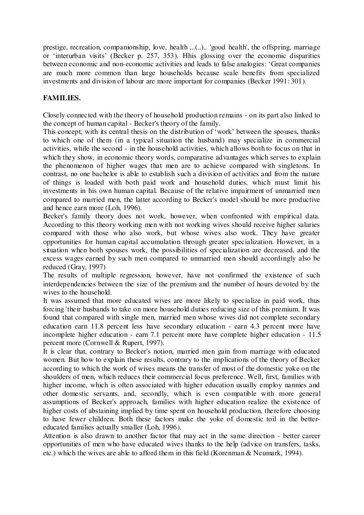prestige, recreation, companionship, love, health ,..(..).. 'good health', the offspring, marriage or ‗interurban visits' (Becker p. 257, 353). Hhis glossing over the economic disparities between economic and non-economic activities and leads to false analogies: 'Great companies are much more common than large households because scale benefits from specialized investments and division of labour are more important for companies (Becker 1991: 301).

## **FAMILIES.**

Closely connected with the theory of household production remains - on its part also linked to the concept of human capital - Becker's theory of the family.

This concept, with its central thesis on the distribution of 'work' between the spouses, thanks to which one of them (in a typical situation the husband) may specialize in commercial activities, while the second - in the household activities, which allows both to focus on that in which they show, in economic theory words, comparative advantages which serves to explain the phenomenon of higher wages that men are to achieve compared with singletons. In contrast, no one bachelor is able to establish such a division of activities and from the nature of things is loaded with both paid work and household duties, which must limit his investments in his own human capital. Because of the relative impairment of unmarried men compared to married men, the latter according to Becker's model should be more productive and hence earn more (Loh, 1996).

Becker's family theory does not work, however, when confronted with empirical data. According to this theory working men with not working wives should receive higher salaries compared with those who also work, but whose wives also work. They have greater opportunities for human capital accumulation through greater specialization. However, in a situation when both spouses work, the possibilities of specialization are decreased, and the excess wages earned by such men compared to unmarried men should accordingly also be reduced (Gray, 1997)

The results of multiple regression, however, have not confirmed the existence of such interdependencies between the size of the premium and the number of hours devoted by the wives to the household.

It was assumed that more educated wives are more likely to specialize in paid work, thus forcing 'their husbands to take on more household duties reducing size of this premium. It was found that compared with single men, married men whose wives did not complete secondary education earn 11.8 percent less have secondary education - earn 4.3 percent more have incomplete higher education - earn 7.1 percent more have complete higher education - 11.5 percent more (Cornwell & Rupert, 1997).

It is clear that, contrary to Becker's notion, married men gain from marriage with educated women. But how to explain these results, contrary to the implications of the theory of Becker according to which the work of wives means the transfer of most of the domestic yoke on the shoulders of men, which reduces their commercial focus preference. Well, first, families with higher income, which is often associated with higher education usually employ nannies and other domestic servants, and, secondly, which is even compatible with more general assumptions of Becker's approach, families with higher education realize the existence of higher costs of abstaining implied by time spent on household production, therefore choosing to have fewer children. Both these factors make the yoke of domestic toil in the bettereducated families actually smaller (Loh, 1996).

Attention is also drawn to another factor that may act in the same direction - better career opportunities of men who have educated wives thanks to the help (advice on transfers, tasks, etc.) which the wives are able to afford them in this field (Korenman & Neumark, 1994).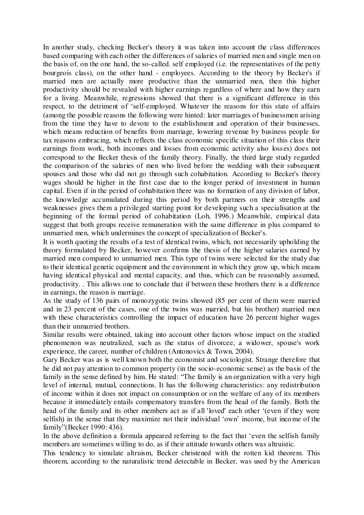In another study, checking Becker's theory it was taken into account the class differences based comparing with each other the differences of salaries of married men and single men on the basis of, on the one hand, the so-called. self employed (i.e. the representatives of the petty bourgeois class), on the other hand - employees. According to the theory by Becker's if married men are actually more productive than the unmarried men, then this higher productivity should be revealed with higher earnings regardless of where and how they earn for a living. Meanwhile, regressions showed that there is a significant difference in this respect, to the detriment of 'self-employed. Whatever the reasons for this state of affairs (among the possible reasons the following were hinted: later marriages of businessmen arising from the time they have to devote to the establishment and operation of their businesses, which means reduction of benefits from marriage, lowering revenue by business people for tax reasons embracing, which reflects the class economic specific situation of this class their earnings from work, both incomes and losses from economic activity also losses) does not correspond to the Becker thesis of the family theory. Finally, the third large study regarded the comparison of the salaries of men who lived before the wedding with their subsequent spouses and those who did not go through such cohabitation. According to Becker's theory wages should be higher in the first case due to the longer period of investment in human capital. Even if in the period of cohabitation there was no formation of any division of labor, the knowledge accumulated during this period by both partners on their strengths and weaknesses gives them a privileged starting point for developing such a specialisation at the beginning of the formal period of cohabitation (Loh, 1996.) Meanwhile, empirical data suggest that both groups receive remuneration with the same difference in plus compared to unmarried men, which undermines the concept of specialization of Becker's.

It is worth quoting the results of a test of identical twins, which, not necessarily upholding the theory formulated by Becker, however confirms the thesis of the higher salaries earned by married men compared to unmarried men. This type of twins were selected for the study due to their identical genetic equipment and the environment in which they grow up, which means having identical physical and mental capacity, and thus, which can be reasonably assumed, productivity. . This allows one to conclude that if between these brothers there is a difference in earnings, the reason is marriage.

As the study of 136 pairs of monozygotic twins showed (85 per cent of them were married and in 23 percent of the cases, one of the twins was married, but his brother) married men with these characteristics controlling the impact of education have 26 percent higher wages than their unmarried brothers.

Similar results were obtained, taking into account other factors whose impact on the studied phenomenon was neutralized, such as the status of divorcee, a widower, spouse's work experience, the career, number of children (Antonovics & Town, 2004).

Gary Becker was as is well known both the economist and sociologist. Strange therefore that he did not pay attention to common property (in the socio-economic sense) as the basis of the family in the sense defined by him. He stated: "The family is an organization with a very high level of internal, mutual, connections. It has the following characteristics: any redistribution of income within it does not impact on consumption or on the welfare of any of its members because it immediately entails compensatory transfers from the head of the family. Both the head of the family and its other members act as if all 'loved' each other '(even if they were selfish) in the sense that they maximize not their individual 'own' income, but income of the family"(Becker 1990: 436).

In the above definition a formula appeared referring to the fact that 'even the selfish family members are sometimes willing to do, as if their attitude towards others was altruistic.

This tendency to simulate altruism, Becker christened with the rotten kid theorem. This theorem, according to the naturalistic trend detectable in Becker, was used by the American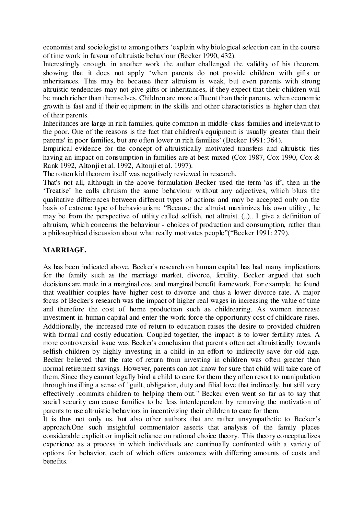economist and sociologist to among others 'explain why biological selection can in the course of time work in favour of altruistic behaviour (Becker 1990, 432).

Interestingly enough, in another work the author challenged the validity of his theorem, showing that it does not apply 'when parents do not provide children with gifts or inheritances. This may be because their altruism is weak, but even parents with strong altruistic tendencies may not give gifts or inheritances, if they expect that their children will be much richer than themselves. Children are more affluent than their parents, when economic growth is fast and if their equipment in the skills and other characteristics is higher than that of their parents.

Inheritances are large in rich families, quite common in middle-class families and irrelevant to the poor. One of the reasons is the fact that children's equipment is usually greater than their parents' in poor families, but are often lower in rich families' (Becker 1991: 364).

Empirical evidence for the concept of altruistically motivated transfers and altruistic ties having an impact on consumption in families are at best mixed (Cox 1987, Cox 1990, Cox & Rank 1992, Altonji et al. 1992, Altonji et al. 1997).

The rotten kid theorem itself was negatively reviewed in research.

That's not all, although in the above formulation Becker used the term 'as if', then in the ‗Treatise' he calls altruism the same behaviour without any adjectives, which blurs the qualitative differences between different types of actions and may be accepted only on the basis of extreme type of behaviourism: "Because the altruist maximizes his own utility, he may be from the perspective of utility called selfish, not altruist..(..).. I give a definition of altruism, which concerns the behaviour - choices of production and consumption, rather than a philosophical discussion about what really motivates people"("Becker 1991: 279).

## **MARRIAGE.**

As has been indicated above, Becker's research on human capital has had many implications for the family such as the marriage market, divorce, fertility. Becker argued that such decisions are made in a marginal cost and marginal benefit framework. For example, he found that wealthier couples have higher cost to divorce and thus a lower divorce rate. A major focus of Becker's research was the impact of higher real wages in increasing the value of time and therefore the cost of home production such as childrearing. As women increase investment in human capital and enter the work force the opportunity cost of childcare rises. Additionally, the increased rate of return to education raises the desire to provided children with formal and costly education. Coupled together, the impact is to lower fertility rates. A more controversial issue was Becker's conclusion that parents often act altruistically towards selfish children by highly investing in a child in an effort to indirectly save for old age. Becker believed that the rate of return from investing in children was often greater than normal retirement savings. However, parents can not know for sure that child will take care of them. Since they cannot legally bind a child to care for them they often resort to manipulation through instilling a sense of "guilt, obligation, duty and filial love that indirectly, but still very effectively .commits children to helping them out." Becker even went so far as to say that social security can cause families to be less interdependent by removing the motivation of parents to use altruistic behaviors in incentivizing their children to care for them.

It is thus not only us, but also other authors that are rather unsympathetic to Becker's approach.One such insightful commentator asserts that analysis of the family places considerable explicit or implicit reliance on rational choice theory. This theory conceptualizes experience as a process in which individuals are continually confronted with a variety of options for behavior, each of which offers outcomes with differing amounts of costs and benefits.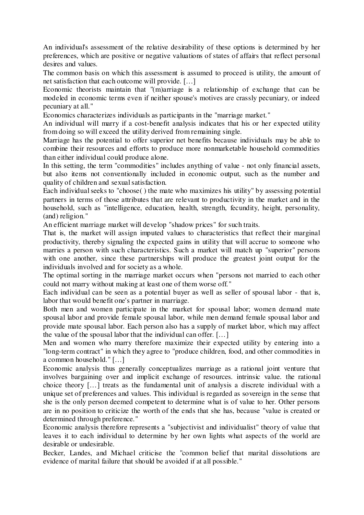An individual's assessment of the relative desirability of these options is determined by her preferences, which are positive or negative valuations of states of affairs that reflect personal desires and values.

The common basis on which this assessment is assumed to proceed is utility, the amount of net satisfaction that each outcome will provide. […]

Economic theorists maintain that "(m)arriage is a relationship of exchange that can be modeled in economic terms even if neither spouse's motives are crassly pecuniary, or indeed pecuniary at all."

Economics characterizes individuals as participants in the "marriage market."

An individual will marry if a cost-benefit analysis indicates that his or her expected utility from doing so will exceed the utility derived from remaining single.

Marriage has the potential to offer superior net benefits because individuals may be able to combine their resources and efforts to produce more nonmarketable household commodities than either individual could produce alone.

In this setting, the term "commodities" includes anything of value - not only financial assets, but also items not conventionally included in economic output, such as the number and quality of children and sexual satisfaction.

Each individual seeks to "choose( ) the mate who maximizes his utility" by assessing potential partners in terms of those attributes that are relevant to productivity in the market and in the household, such as "intelligence, education, health, strength, fecundity, height, personality, (and) religion."

An efficient marriage market will develop "shadow prices" for such traits.

That is, the market will assign imputed values to characteristics that reflect their marginal productivity, thereby signaling the expected gains in utility that will accrue to someone who marries a person with such characteristics. Such a market will match up "superior" persons with one another, since these partnerships will produce the greatest joint output for the individuals involved and for society as a whole.

The optimal sorting in the marriage market occurs when "persons not married to each other could not marry without making at least one of them worse off."

Each individual can be seen as a potential buyer as well as seller of spousal labor - that is, labor that would benefit one's partner in marriage.

Both men and women participate in the market for spousal labor; women demand mate spousal labor and provide female spousal labor, while men demand female spousal labor and provide mate spousal labor. Each person also has a supply of market labor, which may affect the value of the spousal labor that the individual can offer. […]

Men and women who marry therefore maximize their expected utility by entering into a "long-term contract" in which they agree to "produce children, food, and other commodities in a common household." […]

Economic analysis thus generally conceptualizes marriage as a rational joint venture that involves bargaining over and implicit exchange of resources. intrinsic value. the rational choice theory […] treats as the fundamental unit of analysis a discrete individual with a unique set of preferences and values. This individual is regarded as sovereign in the sense that she is the only person deemed competent to determine what is of value to her. Other persons are in no position to criticize the worth of the ends that she has, because "value is created or determined through preference."

Economic analysis therefore represents a "subjectivist and individualist" theory of value that leaves it to each individual to determine by her own lights what aspects of the world are desirable or undesirable.

Becker, Landes, and Michael criticise the "common belief that marital dissolutions are evidence of marital failure that should be avoided if at all possible."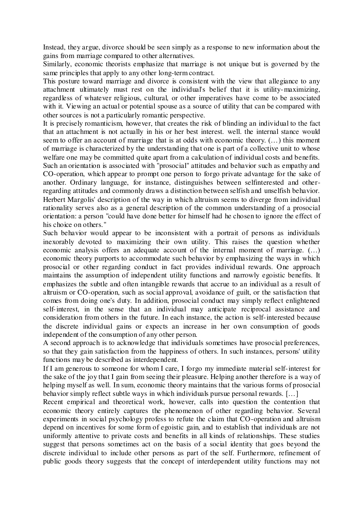Instead, they argue, divorce should be seen simply as a response to new information about the gains from marriage compared to other alternatives.

Similarly, economic theorists emphasize that marriage is not unique but is governed by the same principles that apply to any other long-term contract.

This posture toward marriage and divorce is consistent with the view that allegiance to any attachment ultimately must rest on the individual's belief that it is utility-maximizing, regardless of whatever religious, cultural, or other imperatives have come to be associated with it. Viewing an actual or potential spouse as a source of utility that can be compared with other sources is not a particularly romantic perspective.

It is precisely romanticism, however, that creates the risk of blinding an individual to the fact that an attachment is not actually in his or her best interest. well. the internal stance would seem to offer an account of marriage that is at odds with economic theory. (…) this moment of marriage is characterized by the understanding that one is part of a collective unit to whose welfare one may be committed quite apart from a calculation of individual costs and benefits. Such an orientation is associated with "prosocial" attitudes and behavior such as empathy and CO-operation, which appear to prompt one person to forgo private advantage for the sake of another. Ordinary language, for instance, distinguishes between selfinterested and otherregarding attitudes and commonly draws a distinction between selfish and unselfish behavior. Herbert Margolis' description of the way in which altruism seems to diverge from individual rationality serves also as a general description of the common understanding of a prosocial orientation: a person "could have done better for himself had he chosen to ignore the effect of his choice on others."

Such behavior would appear to be inconsistent with a portrait of persons as individuals inexorably devoted to maximizing their own utility. This raises the question whether economic analysis offers an adequate account of the internal moment of marriage. (…) economic theory purports to accommodate such behavior by emphasizing the ways in which prosocial or other regarding conduct in fact provides individual rewards. One approach maintains the assumption of independent utility functions and narrowly egoistic benefits. It emphasizes the subtle and often intangible rewards that accrue to an individual as a result of altruism or CO-operation, such as social approval, avoidance of guilt, or the satisfaction that comes from doing one's duty. In addition, prosocial conduct may simply reflect enlightened self-interest, in the sense that an individual may anticipate reciprocal assistance and consideration from others in the future. In each instance, the action is self-interested because the discrete individual gains or expects an increase in her own consumption of goods independent of the consumption of any other person.

A second approach is to acknowledge that individuals sometimes have prosocial preferences, so that they gain satisfaction from the happiness of others. In such instances, persons' utility functions may be described as interdependent.

If I am generous to someone for whom I care, I forgo my immediate material self-interest for the sake of the joy that I gain from seeing their pleasure. Helping another therefore is a way of helping myself as well. In sum, economic theory maintains that the various forms of prosocial behavior simply reflect subtle ways in which individuals pursue personal rewards. […]

Recent empirical and theoretical work, however, calls into question the contention that economic theory entirely captures the phenomenon of other regarding behavior. Several experiments in social psychology profess to refute the claim that CO-operation and altruism depend on incentives for some form of egoistic gain, and to establish that individuals are not uniformly attentive to private costs and benefits in all kinds of relationships. These studies suggest that persons sometimes act on the basis of a social identity that goes beyond the discrete individual to include other persons as part of the self. Furthermore, refinement of public goods theory suggests that the concept of interdependent utility functions may not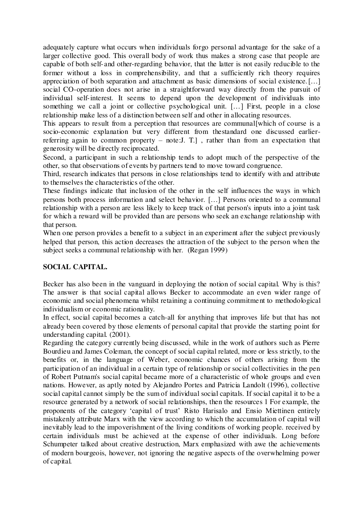adequately capture what occurs when individuals forgo personal advantage for the sake of a larger collective good. This overall body of work thus makes a strong case that people are capable of both self-and other-regarding behavior, that the latter is not easily reducible to the former without a loss in comprehensibility, and that a sufficiently rich theory requires appreciation of both separation and attachment as basic dimensions of social existence.[…] social CO-operation does not arise in a straightforward way directly from the pursuit of individual self-interest. It seems to depend upon the development of individuals into something we call a joint or collective psychological unit. […] First, people in a close relationship make less of a distinction between self and other in allocating resources.

This appears to result from a perception that resources are communal[which of course is a socio-economic explanation but very different from thestandard one discussed earlierreferring again to common property – note:J. T.] , rather than from an expectation that generosity will be directly reciprocated.

Second, a participant in such a relationship tends to adopt much of the perspective of the other, so that observations of events by partners tend to move toward congruence.

Third, research indicates that persons in close relationships tend to identify with and attribute to themselves the characteristics of the other.

These findings indicate that inclusion of the other in the self influences the ways in which persons both process information and select behavior. […] Persons oriented to a communal relationship with a person are less likely to keep track of that person's inputs into a joint task for which a reward will be provided than are persons who seek an exchange relationship with that person.

When one person provides a benefit to a subject in an experiment after the subject previously helped that person, this action decreases the attraction of the subject to the person when the subject seeks a communal relationship with her. (Regan 1999)

## **SOCIAL CAPITAL.**

Becker has also been in the vanguard in deploying the notion of social capital. Why is this? The answer is that social capital allows Becker to accommodate an even wider range of economic and social phenomena whilst retaining a continuing commitment to methodological individualism or economic rationality.

In effect, social capital becomes a catch-all for anything that improves life but that has not already been covered by those elements of personal capital that provide the starting point for understanding capital. (2001).

Regarding the category currently being discussed, while in the work of authors such as Pierre Bourdieu and James Coleman, the concept of social capital related, more or less strictly, to the benefits or, in the language of Weber, economic chances of others arising from the participation of an individual in a certain type of relationship or social collectivities in the pen of Robert Putnam's social capital became more of a characteristic of whole groups and even nations. However, as aptly noted by Alejandro Portes and Patricia Landolt (1996), collective social capital cannot simply be the sum of individual social capitals. If social capital it to be a resource generated by a network of social relationships, then the resources 1 For example, the proponents of the category 'capital of trust' Risto Harisalo and Ensio Miettinen entirely mistakenly attribute Marx with the view according to which the accumulation of capital will inevitably lead to the impoverishment of the living conditions of working people. received by certain individuals must be achieved at the expense of other individuals. Long before Schumpeter talked about creative destruction, Marx emphasized with awe the achievements of modern bourgeois, however, not ignoring the negative aspects of the overwhelming power of capital.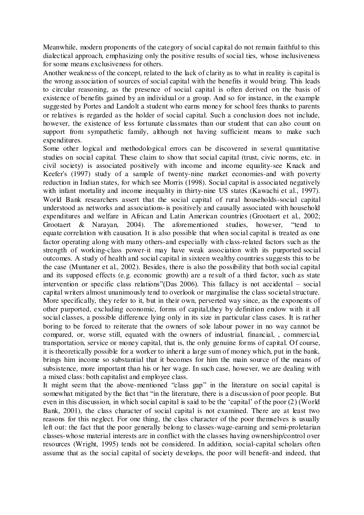Meanwhile, modern proponents of the category of social capital do not remain faithful to this dialectical approach, emphasizing only the positive results of social ties, whose inclusiveness for some means exclusiveness for others.

Another weakness of the concept, related to the lack of clarity as to what in reality is capital is the wrong association of sources of social capital with the benefits it would bring. This leads to circular reasoning, as the presence of social capital is often derived on the basis of existence of benefits gained by an individual or a group. And so for instance, in the example suggested by Portes and Landolt a student who earns money for school fees thanks to parents or relatives is regarded as the holder of social capital. Such a conclusion does not include, however, the existence of less fortunate classmates than our student that can also count on support from sympathetic family, although not having sufficient means to make such expenditures.

Some other logical and methodological errors can be discovered in several quantitative studies on social capital. These claim to show that social capital (trust, civic norms, etc. in civil society) is associated positively with income and income equality-see Knack and Keefer's (1997) study of a sample of twenty-nine market economies-and with poverty reduction in Indian states, for which see Morris (1998). Social capital is associated negatively with infant mortality and income inequality in thirty-nine US states (Kawachi et al., 1997). World Bank researchers assert that the social capital of rural households-social capital understood as networks and associations-is positively and causally associated with household expenditures and welfare in African and Latin American countries (Grootaert et al., 2002; Grootaert  $\&$  Narayan, 2004). The aforementioned studies, however, "tend to equate correlation with causation. It is also possible that when social capital is treated as one factor operating along with many others-and especially with class-related factors such as the strength of working-class power-it may have weak association with its purported social outcomes. A study of health and social capital in sixteen wealthy countries suggests this to be the case (Muntaner et al., 2002). Besides, there is also the possibility that both social capital and its supposed effects (e.g. economic growth) are a result of a third factor, such as state intervention or specific class relations"(Das 2006). This fallacy is not accidental  $-$  social capital writers almost unanimously tend to overlook or marginalise the class societal structure. More specifically, they refer to it, but in their own, perverted way since, as the exponents of other purported, excluding economic, forms of capital,they by definition endow with it all social classes, a possible difference lying only in its size in particular class cases. It is rather boring to be forced to reiterate that the owners of sole labour power in no way cannot be compared, or, worse still, equated with the owners of industrial, financial, , commercial, transportation, service or money capital, that is, the only genuine forms of capital. Of course, it is theoretically possible for a worker to inherit a large sum of money which, put in the bank, brings him income so substantial that it becomes for him the main source of the means of subsistence, more important than his or her wage. In such case, however, we are dealing with a mixed class: both capitalist and employee class.

It might seem that the above-mentioned "class gap" in the literature on social capital is somewhat mitigated by the fact that "in the literature, there is a discussion of poor people. But even in this discussion, in which social capital is said to be the 'capital' of the poor (2) (World Bank, 2001), the class character of social capital is not examined. There are at least two reasons for this neglect. For one thing, the class character of the poor themselves is usually left out: the fact that the poor generally belong to classes-wage-earning and semi-proletarian classes-whose material interests are in conflict with the classes having ownership/control over resources (Wright, 1995) tends not be considered. In addition, social-capital scholars often assume that as the social capital of society develops, the poor will benefit-and indeed, that